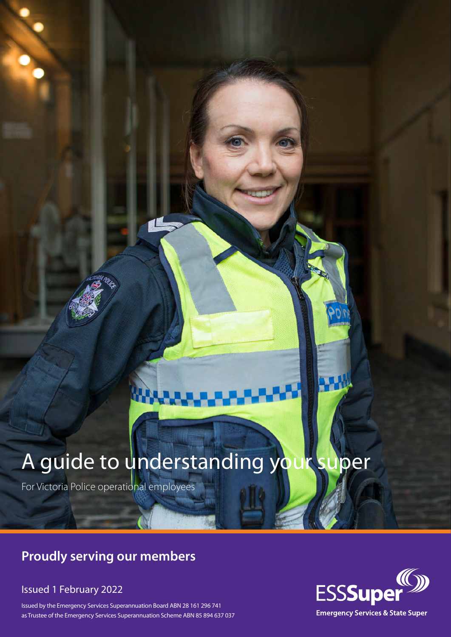# A guide to understanding your super

For Victoria Police operational employees

## **Proudly serving our members**

### Issued 1 February 2022

Issued by the Emergency Services Superannuation Board ABN 28 161 296 741 as Trustee of the Emergency Services Superannuation Scheme ABN 85 894 637 037

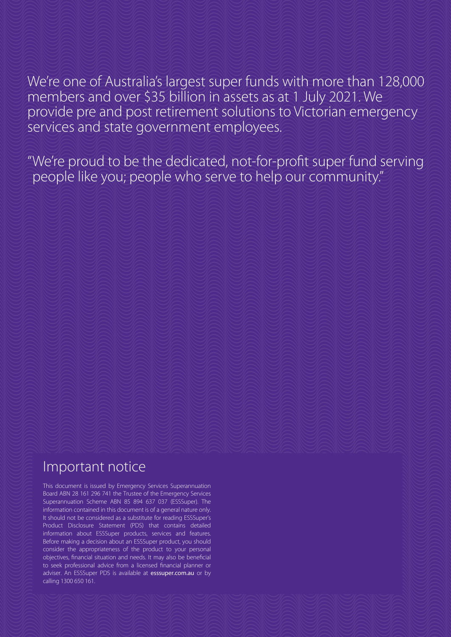### We're one of Australia's largest super funds with more than 128,000 members and over \$35 billion in assets as at 1 July 2021. We provide pre and post retirement solutions to Victorian emergency services and state government employees.

"We're proud to be the dedicated, not-for-profit super fund serving people like you; people who serve to help our community."

### Important notice

This document is issued by Emergency Services Superannuation Board ABN 28 161 296 741 the Trustee of the Emergency Services Superannuation Scheme ABN 85 894 637 037 (ESSSuper). The information contained in this document is of a general nature only. It should not be considered as a substitute for reading ESSSuper's Product Disclosure Statement (PDS) that contains detailed information about ESSSuper products, services and features. Before making a decision about an ESSSuper product, you should consider the appropriateness of the product to your personal objectives, financial situation and needs. It may also be beneficial to seek professional advice from a licensed financial planner or adviser. An ESSSuper PDS is available at esssuper.com.au or by calling 1300 650 161.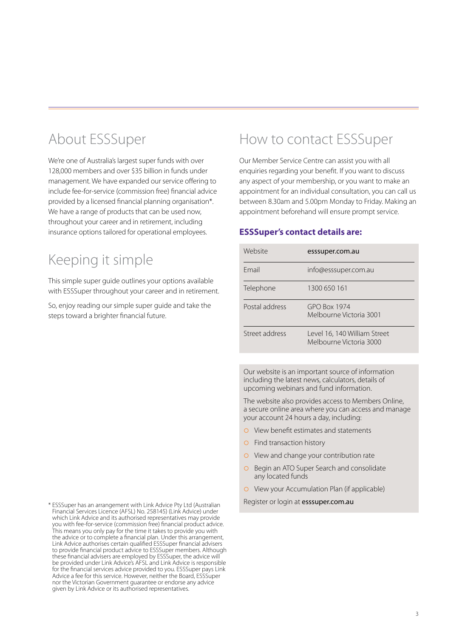# About ESSSuper

We're one of Australia's largest super funds with over 128,000 members and over \$35 billion in funds under management. We have expanded our service offering to include fee-for-service (commission free) financial advice provided by a licensed financial planning organisation\*. We have a range of products that can be used now, throughout your career and in retirement, including insurance options tailored for operational employees.

# Keeping it simple

This simple super guide outlines your options available with ESSSuper throughout your career and in retirement.

So, enjoy reading our simple super guide and take the steps toward a brighter financial future.

# How to contact ESSSuper

Our Member Service Centre can assist you with all enquiries regarding your benefit. If you want to discuss any aspect of your membership, or you want to make an appointment for an individual consultation, you can call us between 8.30am and 5.00pm Monday to Friday. Making an appointment beforehand will ensure prompt service.

#### **ESSSuper's contact details are:**

| Website        | esssuper.com.au                                         |
|----------------|---------------------------------------------------------|
| <b>Email</b>   | info@esssuper.com.au                                    |
| Telephone      | 1300 650 161                                            |
| Postal address | $GPO$ Box 1974<br>Melbourne Victoria 3001               |
| Street address | Level 16, 140 William Street<br>Melbourne Victoria 3000 |

Our website is an important source of information including the latest news, calculators, details of upcoming webinars and fund information.

The website also provides access to Members Online, a secure online area where you can access and manage your account 24 hours a day, including:

- **•** View benefit estimates and statements
- **O** Find transaction history
- **•** View and change your contribution rate
- **O** Begin an ATO Super Search and consolidate any located funds
- **O** View your Accumulation Plan (if applicable)

Register or login at esssuper.com.au

\* ESSSuper has an arrangement with Link Advice Pty Ltd (Australian Financial Services Licence (AFSL) No. 258145) (Link Advice) under which Link Advice and its authorised representatives may provide you with fee-for-service (commission free) financial product advice. This means you only pay for the time it takes to provide you with the advice or to complete a financial plan. Under this arrangement, Link Advice authorises certain qualified ESSSuper financial advisers to provide financial product advice to ESSSuper members. Although these financial advisers are employed by ESSSuper, the advice will be provided under Link Advice's AFSL and Link Advice is responsible for the financial services advice provided to you. ESSSuper pays Link Advice a fee for this service. However, neither the Board, ESSSuper nor the Victorian Government guarantee or endorse any advice given by Link Advice or its authorised representatives.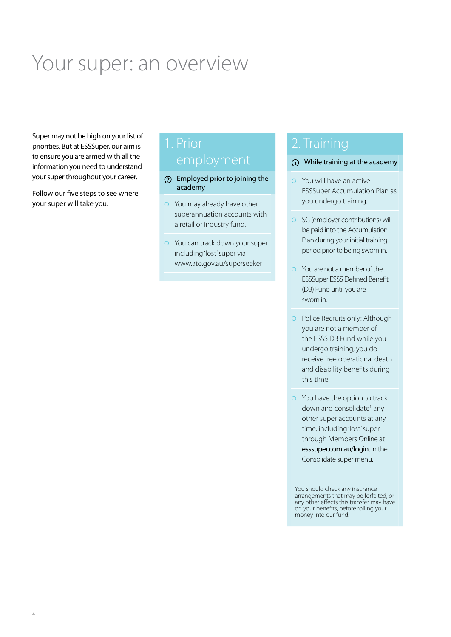# Your super: an overview

Super may not be high on your list of priorities. But at ESSSuper, our aim is to ensure you are armed with all the information you need to understand your super throughout your career.

Follow our five steps to see where your super will take you.

- Employed prior to joining the academy
- $\circ$  You may already have other superannuation accounts with a retail or industry fund.
- **•** You can track down your super including 'lost' super via www.ato.gov.au/superseeker

## 2. Training

- While training at the academy
- $\circ$  You will have an active ESSSuper Accumulation Plan as you undergo training.
- $\circ$  SG (employer contributions) will be paid into the Accumulation Plan during your initial training period prior to being sworn in.
- $\circ$  You are not a member of the ESSSuper ESSS Defined Benefit (DB) Fund until you are sworn in.
- **•** Police Recruits only: Although you are not a member of the ESSS DB Fund while you undergo training, you do receive free operational death and disability benefits during this time.
- $\circ$  You have the option to track down and consolidate<sup>1</sup> any other super accounts at any time, including 'lost' super, through Members Online at esssuper.com.au/login, in the Consolidate super menu.

<sup>&</sup>lt;sup>1</sup> You should check any insurance arrangements that may be forfeited, or any other effects this transfer may have on your benefits, before rolling your money into our fund.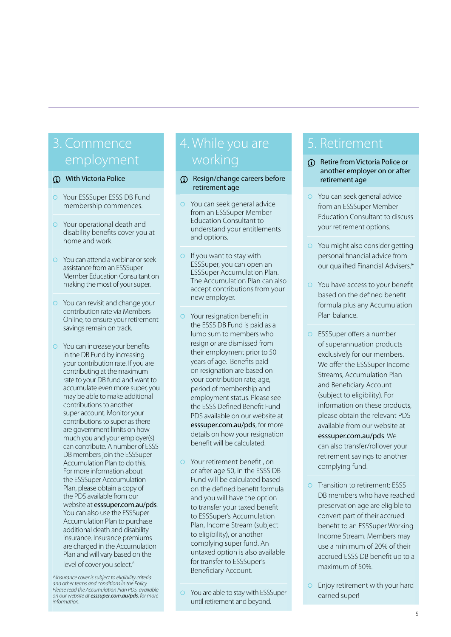# 3. Commence

#### With Victoria Police

- **O** Your ESSSuper ESSS DB Fund membership commences.
- **•** Your operational death and disability benefits cover you at home and work.
- $\circ$  You can attend a webinar or seek assistance from an ESSSuper Member Education Consultant on making the most of your super.
- $\circ$  You can revisit and change your contribution rate via Members Online, to ensure your retirement savings remain on track.
- $\circ$  You can increase your benefits in the DB Fund by increasing your contribution rate. If you are contributing at the maximum rate to your DB fund and want to accumulate even more super, you may be able to make additional contributions to another super account. Monitor your contributions to super as there are government limits on how much you and your employer(s) can contribute. A number of ESSS DB members join the ESSSuper Accumulation Plan to do this. For more information about the ESSSuper Acccumulation Plan, please obtain a copy of the PDS available from our website at esssuper.com.au/pds. You can also use the ESSSuper Accumulation Plan to purchase additional death and disability insurance. Insurance premiums are charged in the Accumulation Plan and will vary based on the level of cover you select.<sup>'</sup>

*^Insurance cover is subject to eligibility criteria and other terms and conditions in the Policy. Please read the Accumulation Plan PDS, available on our website at esssuper.com.au/pds, for more information.*

#### Resign/change careers before retirement age

- **•** You can seek general advice from an ESSSuper Member Education Consultant to understand your entitlements and options.
- $\circ$  If you want to stay with ESSSuper, you can open an ESSSuper Accumulation Plan. The Accumulation Plan can also accept contributions from your new employer.
- **•** Your resignation benefit in the ESSS DB Fund is paid as a lump sum to members who resign or are dismissed from their employment prior to 50 years of age. Benefits paid on resignation are based on your contribution rate, age, period of membership and employment status. Please see the ESSS Defined Benefit Fund PDS available on our website at esssuper.com.au/pds, for more details on how your resignation benefit will be calculated.
- ¡ Your retirement benefit , on or after age 50, in the ESSS DB Fund will be calculated based on the defined benefit formula and you will have the option to transfer your taxed benefit to ESSSuper's Accumulation Plan, Income Stream (subject to eligibility), or another complying super fund. An untaxed option is also available for transfer to ESSSuper's Beneficiary Account.

### 5. Retirement

- Retire from Victoria Police or another employer on or after retirement age
- **•** You can seek general advice from an ESSSuper Member Education Consultant to discuss your retirement options.
- $\circ$  You might also consider getting personal financial advice from our qualified Financial Advisers.\*
- $\circ$  You have access to your benefit based on the defined benefit formula plus any Accumulation Plan balance.
- **•** ESSSuper offers a number of superannuation products exclusively for our members. We offer the ESSSuper Income Streams, Accumulation Plan and Beneficiary Account (subject to eligibility). For information on these products, please obtain the relevant PDS available from our website at esssuper.com.au/pds. We can also transfer/rollover your retirement savings to another complying fund.
- **•** Transition to retirement: ESSS DB members who have reached preservation age are eligible to convert part of their accrued benefit to an ESSSuper Working Income Stream. Members may use a minimum of 20% of their accrued ESSS DB benefit up to a maximum of 50%.
- $\circ$  Enjoy retirement with your hard earned super!

<sup>•</sup> You are able to stay with ESSSuper until retirement and beyond.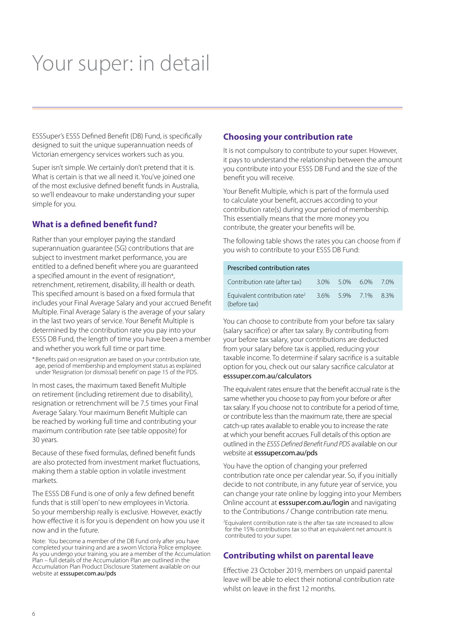# Your super: in detail

ESSSuper's ESSS Defined Benefit (DB) Fund, is specifically designed to suit the unique superannuation needs of Victorian emergency services workers such as you.

Super isn't simple. We certainly don't pretend that it is. What is certain is that we all need it. You've joined one of the most exclusive defined benefit funds in Australia, so we'll endeavour to make understanding your super simple for you.

#### **What is a defined benefit fund?**

Rather than your employer paying the standard superannuation guarantee (SG) contributions that are subject to investment market performance, you are entitled to a defined benefit where you are guaranteed a specified amount in the event of resignation\*, retrenchment, retirement, disability, ill health or death. This specified amount is based on a fixed formula that includes your Final Average Salary and your accrued Benefit Multiple. Final Average Salary is the average of your salary in the last two years of service. Your Benefit Multiple is determined by the contribution rate you pay into your ESSS DB Fund, the length of time you have been a member and whether you work full time or part time.

\* Benefits paid on resignation are based on your contribution rate, age, period of membership and employment status as explained under 'Resignation (or dismissal) benefit' on page 15 of the PDS.

In most cases, the maximum taxed Benefit Multiple on retirement (including retirement due to disability), resignation or retrenchment will be 7.5 times your Final Average Salary. Your maximum Benefit Multiple can be reached by working full time and contributing your maximum contribution rate (see table opposite) for 30 years.

Because of these fixed formulas, defined benefit funds are also protected from investment market fluctuations, making them a stable option in volatile investment markets.

The ESSS DB Fund is one of only a few defined benefit funds that is still 'open' to new employees in Victoria. So your membership really is exclusive. However, exactly how effective it is for you is dependent on how you use it now and in the future.

Note: You become a member of the DB Fund only after you have completed your training and are a sworn Victoria Police employee As you undergo your training, you are a member of the Accumulation Plan – full details of the Accumulation Plan are outlined in the Accumulation Plan Product Disclosure Statement available on our website at esssuper.com.au/pds

#### **Choosing your contribution rate**

It is not compulsory to contribute to your super. However, it pays to understand the relationship between the amount you contribute into your ESSS DB Fund and the size of the benefit you will receive.

Your Benefit Multiple, which is part of the formula used to calculate your benefit, accrues according to your contribution rate(s) during your period of membership. This essentially means that the more money you contribute, the greater your benefits will be.

The following table shows the rates you can choose from if you wish to contribute to your ESSS DB Fund:

#### Prescribed contribution rates

| Contribution rate (after tax)                             | 30% 50% 60%    | 70% |
|-----------------------------------------------------------|----------------|-----|
| Equivalent contribution rate <sup>2</sup><br>(before tax) | 3.6% 5.9% 7.1% | 83% |

You can choose to contribute from your before tax salary (salary sacrifice) or after tax salary. By contributing from your before tax salary, your contributions are deducted from your salary before tax is applied, reducing your taxable income. To determine if salary sacrifice is a suitable option for you, check out our salary sacrifice calculator at esssuper.com.au/calculators

The equivalent rates ensure that the benefit accrual rate is the same whether you choose to pay from your before or after tax salary. If you choose not to contribute for a period of time, or contribute less than the maximum rate, there are special catch-up rates available to enable you to increase the rate at which your benefit accrues. Full details of this option are outlined in the *ESSS Defined Benefit Fund PDS* available on our website at esssuper.com.au/pds

You have the option of changing your preferred contribution rate once per calendar year. So, if you initially decide to not contribute, in any future year of service, you can change your rate online by logging into your Members Online account at esssuper.com.au/login and navigating to the Contributions / Change contribution rate menu.

2 Equivalent contribution rate is the after tax rate increased to allow for the 15% contributions tax so that an equivalent net amount is contributed to your super.

#### **Contributing whilst on parental leave**

Effective 23 October 2019, members on unpaid parental leave will be able to elect their notional contribution rate whilst on leave in the first 12 months.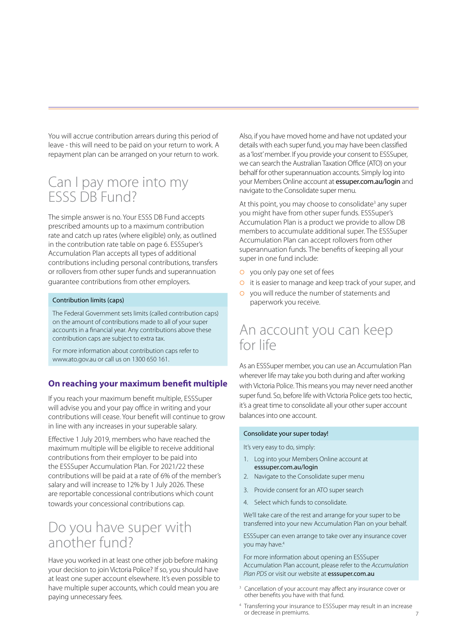You will accrue contribution arrears during this period of leave - this will need to be paid on your return to work. A repayment plan can be arranged on your return to work.

### Can I pay more into my ESSS DB Fund?

The simple answer is no. Your ESSS DB Fund accepts prescribed amounts up to a maximum contribution rate and catch up rates (where eligible) only, as outlined in the contribution rate table on page 6. ESSSuper's Accumulation Plan accepts all types of additional contributions including personal contributions, transfers or rollovers from other super funds and superannuation guarantee contributions from other employers.

#### Contribution limits (caps)

The Federal Government sets limits (called contribution caps) on the amount of contributions made to all of your super accounts in a financial year. Any contributions above these contribution caps are subject to extra tax.

For more information about contribution caps refer to www.ato.gov.au or call us on 1300 650 161.

#### **On reaching your maximum benefit multiple**

If you reach your maximum benefit multiple, ESSSuper will advise you and your pay office in writing and your contributions will cease. Your benefit will continue to grow in line with any increases in your superable salary.

Effective 1 July 2019, members who have reached the maximum multiple will be eligible to receive additional contributions from their employer to be paid into the ESSSuper Accumulation Plan. For 2021/22 these contributions will be paid at a rate of 6% of the member's salary and will increase to 12% by 1 July 2026. These are reportable concessional contributions which count towards your concessional contributions cap.

## Do you have super with another fund?

Have you worked in at least one other job before making your decision to join Victoria Police? If so, you should have at least one super account elsewhere. It's even possible to have multiple super accounts, which could mean you are paying unnecessary fees.

Also, if you have moved home and have not updated your details with each super fund, you may have been classified as a 'lost' member. If you provide your consent to ESSSuper, we can search the Australian Taxation Office (ATO) on your behalf for other superannuation accounts. Simply log into your Members Online account at essuper.com.au/login and navigate to the Consolidate super menu.

At this point, you may choose to consolidate<sup>3</sup> any super you might have from other super funds. ESSSuper's Accumulation Plan is a product we provide to allow DB members to accumulate additional super. The ESSSuper Accumulation Plan can accept rollovers from other superannuation funds. The benefits of keeping all your super in one fund include:

- **o** you only pay one set of fees
- **O** it is easier to manage and keep track of your super, and
- ¡ you will reduce the number of statements and paperwork you receive.

### An account you can keep for life

As an ESSSuper member, you can use an Accumulation Plan wherever life may take you both during and after working with Victoria Police. This means you may never need another super fund. So, before life with Victoria Police gets too hectic, it's a great time to consolidate all your other super account balances into one account.

#### Consolidate your super today!

It's very easy to do, simply:

- 1. Log into your Members Online account at esssuper.com.au/login
- 2. Navigate to the Consolidate super menu
- 3. Provide consent for an ATO super search
- 4. Select which funds to consolidate.

We'll take care of the rest and arrange for your super to be transferred into your new Accumulation Plan on your behalf.

ESSSuper can even arrange to take over any insurance cover you may have.<sup>4</sup>

For more information about opening an ESSSuper Accumulation Plan account, please refer to the *Accumulation Plan PDS* or visit our website at esssuper.com.au

- 3 Cancellation of your account may affect any insurance cover or other benefits you have with that fund.
- 4 Transferring your insurance to ESSSuper may result in an increase or decrease in premiums.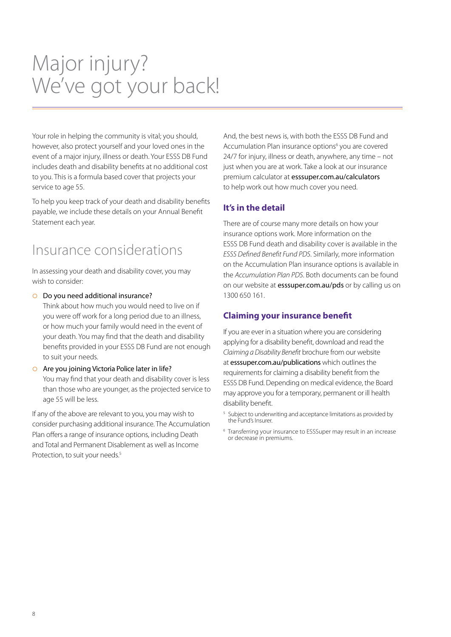# Major injury? We've got your back!

Your role in helping the community is vital; you should, however, also protect yourself and your loved ones in the event of a major injury, illness or death. Your ESSS DB Fund includes death and disability benefits at no additional cost to you. This is a formula based cover that projects your service to age 55.

To help you keep track of your death and disability benefits payable, we include these details on your Annual Benefit Statement each year.

# Insurance considerations

In assessing your death and disability cover, you may wish to consider:

¡ Do you need additional insurance?

Think about how much you would need to live on if you were off work for a long period due to an illness, or how much your family would need in the event of your death. You may find that the death and disability benefits provided in your ESSS DB Fund are not enough to suit your needs.

 $\circ$  Are you joining Victoria Police later in life? You may find that your death and disability cover is less than those who are younger, as the projected service to age 55 will be less.

If any of the above are relevant to you, you may wish to consider purchasing additional insurance. The Accumulation Plan offers a range of insurance options, including Death and Total and Permanent Disablement as well as Income Protection, to suit your needs.<sup>5</sup>

And, the best news is, with both the ESSS DB Fund and Accumulation Plan insurance options<sup>6</sup> you are covered 24/7 for injury, illness or death, anywhere, any time – not just when you are at work. Take a look at our insurance premium calculator at esssuper.com.au/calculators to help work out how much cover you need.

### **It's in the detail**

There are of course many more details on how your insurance options work. More information on the ESSS DB Fund death and disability cover is available in the *ESSS Defined Benefit Fund PDS*. Similarly, more information on the Accumulation Plan insurance options is available in the *Accumulation Plan PDS*. Both documents can be found on our website at esssuper.com.au/pds or by calling us on 1300 650 161.

#### **Claiming your insurance benefit**

If you are ever in a situation where you are considering applying for a disability benefit, download and read the *Claiming a Disability Benefit* brochure from our website at esssuper.com.au/publications which outlines the requirements for claiming a disability benefit from the ESSS DB Fund. Depending on medical evidence, the Board may approve you for a temporary, permanent or ill health disability benefit.

- <sup>5</sup> Subject to underwriting and acceptance limitations as provided by the Fund's Insurer.
- 6 Transferring your insurance to ESSSuper may result in an increase or decrease in premiums.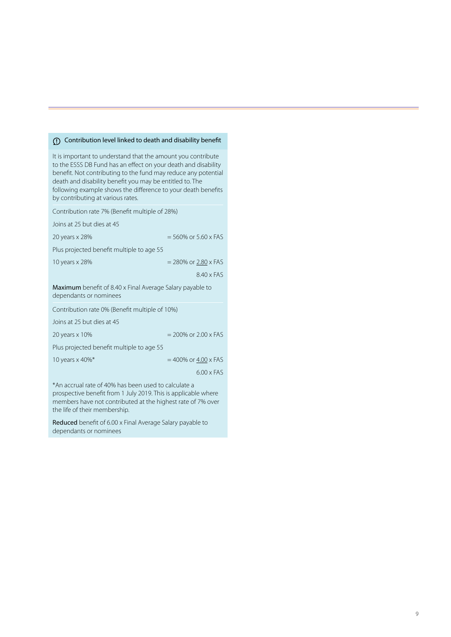#### Contribution level linked to death and disability benefit

| It is important to understand that the amount you contribute<br>to the ESSS DB Fund has an effect on your death and disability<br>benefit. Not contributing to the fund may reduce any potential<br>death and disability benefit you may be entitled to. The<br>following example shows the difference to your death benefits<br>by contributing at various rates. |  |  |
|--------------------------------------------------------------------------------------------------------------------------------------------------------------------------------------------------------------------------------------------------------------------------------------------------------------------------------------------------------------------|--|--|
| Contribution rate 7% (Benefit multiple of 28%)                                                                                                                                                                                                                                                                                                                     |  |  |
| Joins at 25 but dies at 45                                                                                                                                                                                                                                                                                                                                         |  |  |
| $= 560\%$ or 5.60 x FAS<br>20 years x 28%                                                                                                                                                                                                                                                                                                                          |  |  |
| Plus projected benefit multiple to age 55                                                                                                                                                                                                                                                                                                                          |  |  |
| 10 years x 28%<br>$= 280\%$ or 2.80 x FAS                                                                                                                                                                                                                                                                                                                          |  |  |
| $8.40 \times FAS$                                                                                                                                                                                                                                                                                                                                                  |  |  |
| <b>Maximum</b> benefit of 8.40 x Final Average Salary payable to<br>dependants or nominees                                                                                                                                                                                                                                                                         |  |  |
| Contribution rate 0% (Benefit multiple of 10%)                                                                                                                                                                                                                                                                                                                     |  |  |
| Joins at 25 but dies at 45                                                                                                                                                                                                                                                                                                                                         |  |  |
| $= 200\%$ or $2.00 \times FAS$<br>20 years x 10%                                                                                                                                                                                                                                                                                                                   |  |  |
| Plus projected benefit multiple to age 55                                                                                                                                                                                                                                                                                                                          |  |  |
| 10 years x 40%*<br>$= 400\%$ or $4.00 \times FAS$                                                                                                                                                                                                                                                                                                                  |  |  |
| $600 \times FAS$                                                                                                                                                                                                                                                                                                                                                   |  |  |
| *An accrual rate of 40% has been used to calculate a                                                                                                                                                                                                                                                                                                               |  |  |

prospective benefit from 1 July 2019. This is applicable where members have not contributed at the highest rate of 7% over the life of their membership.

Reduced benefit of 6.00 x Final Average Salary payable to dependants or nominees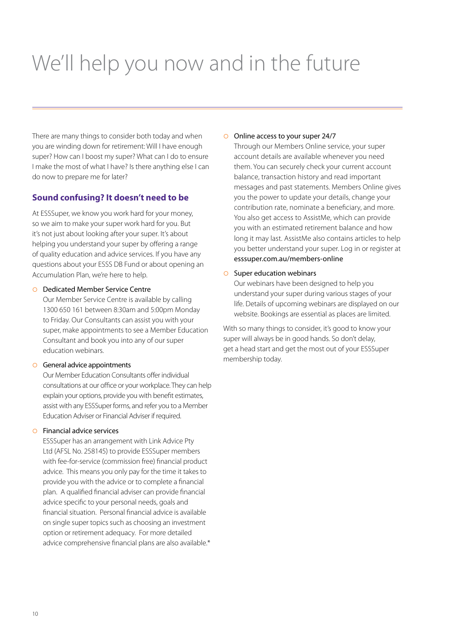# We'll help you now and in the future

There are many things to consider both today and when you are winding down for retirement: Will I have enough super? How can I boost my super? What can I do to ensure I make the most of what I have? Is there anything else I can do now to prepare me for later?

#### **Sound confusing? It doesn't need to be**

At ESSSuper, we know you work hard for your money, so we aim to make your super work hard for you. But it's not just about looking after your super. It's about helping you understand your super by offering a range of quality education and advice services. If you have any questions about your ESSS DB Fund or about opening an Accumulation Plan, we're here to help.

#### ¡ Dedicated Member Service Centre

Our Member Service Centre is available by calling 1300 650 161 between 8:30am and 5:00pm Monday to Friday. Our Consultants can assist you with your super, make appointments to see a Member Education Consultant and book you into any of our super education webinars.

#### $\circ$  General advice appointments

Our Member Education Consultants offer individual consultations at our office or your workplace. They can help explain your options, provide you with benefit estimates, assist with any ESSSuper forms, and refer you to a Member Education Adviser or Financial Adviser if required.

#### $\circ$  Financial advice services

ESSSuper has an arrangement with Link Advice Pty Ltd (AFSL No. 258145) to provide ESSSuper members with fee-for-service (commission free) financial product advice. This means you only pay for the time it takes to provide you with the advice or to complete a financial plan. A qualified financial adviser can provide financial advice specific to your personal needs, goals and financial situation. Personal financial advice is available on single super topics such as choosing an investment option or retirement adequacy. For more detailed advice comprehensive financial plans are also available.\*

#### ¡ Online access to your super 24/7

Through our Members Online service, your super account details are available whenever you need them. You can securely check your current account balance, transaction history and read important messages and past statements. Members Online gives you the power to update your details, change your contribution rate, nominate a beneficiary, and more. You also get access to AssistMe, which can provide you with an estimated retirement balance and how long it may last. AssistMe also contains articles to help you better understand your super. Log in or register at esssuper.com.au/members-online

#### $\circ$  Super education webinars

Our webinars have been designed to help you understand your super during various stages of your life. Details of upcoming webinars are displayed on our website. Bookings are essential as places are limited.

With so many things to consider, it's good to know your super will always be in good hands. So don't delay, get a head start and get the most out of your ESSSuper membership today.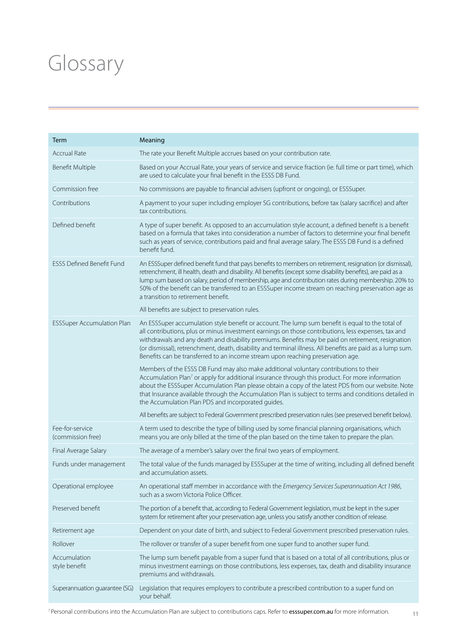# Glossary

| Term                                 | Meaning                                                                                                                                                                                                                                                                                                                                                                                                                                                                                                        |
|--------------------------------------|----------------------------------------------------------------------------------------------------------------------------------------------------------------------------------------------------------------------------------------------------------------------------------------------------------------------------------------------------------------------------------------------------------------------------------------------------------------------------------------------------------------|
| <b>Accrual Rate</b>                  | The rate your Benefit Multiple accrues based on your contribution rate.                                                                                                                                                                                                                                                                                                                                                                                                                                        |
| Benefit Multiple                     | Based on your Accrual Rate, your years of service and service fraction (ie. full time or part time), which<br>are used to calculate your final benefit in the ESSS DB Fund.                                                                                                                                                                                                                                                                                                                                    |
| Commission free                      | No commissions are payable to financial advisers (upfront or ongoing), or ESSSuper.                                                                                                                                                                                                                                                                                                                                                                                                                            |
| Contributions                        | A payment to your super including employer SG contributions, before tax (salary sacrifice) and after<br>tax contributions.                                                                                                                                                                                                                                                                                                                                                                                     |
| Defined benefit                      | A type of super benefit. As opposed to an accumulation style account, a defined benefit is a benefit<br>based on a formula that takes into consideration a number of factors to determine your final benefit<br>such as years of service, contributions paid and final average salary. The ESSS DB Fund is a defined<br>benefit fund.                                                                                                                                                                          |
| <b>ESSS Defined Benefit Fund</b>     | An ESSSuper defined benefit fund that pays benefits to members on retirement, resignation (or dismissal),<br>retrenchment, ill health, death and disability. All benefits (except some disability benefits), are paid as a<br>lump sum based on salary, period of membership, age and contribution rates during membership. 20% to<br>50% of the benefit can be transferred to an ESSSuper income stream on reaching preservation age as<br>a transition to retirement benefit.                                |
|                                      | All benefits are subject to preservation rules.                                                                                                                                                                                                                                                                                                                                                                                                                                                                |
| <b>ESSSuper Accumulation Plan</b>    | An ESSSuper accumulation style benefit or account. The lump sum benefit is equal to the total of<br>all contributions, plus or minus investment earnings on those contributions, less expenses, tax and<br>withdrawals and any death and disability premiums. Benefits may be paid on retirement, resignation<br>(or dismissal), retrenchment, death, disability and terminal illness. All benefits are paid as a lump sum.<br>Benefits can be transferred to an income stream upon reaching preservation age. |
|                                      | Members of the ESSS DB Fund may also make additional voluntary contributions to their<br>Accumulation Plan <sup>7</sup> or apply for additional insurance through this product. For more information<br>about the ESSSuper Accumulation Plan please obtain a copy of the latest PDS from our website. Note<br>that Insurance available through the Accumulation Plan is subject to terms and conditions detailed in<br>the Accumulation Plan PDS and incorporated guides.                                      |
|                                      | All benefits are subject to Federal Government prescribed preservation rules (see preserved benefit below).                                                                                                                                                                                                                                                                                                                                                                                                    |
| Fee-for-service<br>(commission free) | A term used to describe the type of billing used by some financial planning organisations, which<br>means you are only billed at the time of the plan based on the time taken to prepare the plan.                                                                                                                                                                                                                                                                                                             |
| Final Average Salary                 | The average of a member's salary over the final two years of employment.                                                                                                                                                                                                                                                                                                                                                                                                                                       |
| Funds under management               | The total value of the funds managed by ESSSuper at the time of writing, including all defined benefit<br>and accumulation assets.                                                                                                                                                                                                                                                                                                                                                                             |
| Operational employee                 | An operational staff member in accordance with the Emergency Services Superannuation Act 1986,<br>such as a sworn Victoria Police Officer.                                                                                                                                                                                                                                                                                                                                                                     |
| Preserved benefit                    | The portion of a benefit that, according to Federal Government legislation, must be kept in the super<br>system for retirement after your preservation age, unless you satisfy another condition of release.                                                                                                                                                                                                                                                                                                   |
| Retirement age                       | Dependent on your date of birth, and subject to Federal Government prescribed preservation rules.                                                                                                                                                                                                                                                                                                                                                                                                              |
| Rollover                             | The rollover or transfer of a super benefit from one super fund to another super fund.                                                                                                                                                                                                                                                                                                                                                                                                                         |
| Accumulation<br>style benefit        | The lump sum benefit payable from a super fund that is based on a total of all contributions, plus or<br>minus investment earnings on those contributions, less expenses, tax, death and disability insurance<br>premiums and withdrawals.                                                                                                                                                                                                                                                                     |
| Superannuation guarantee (SG)        | Legislation that requires employers to contribute a prescribed contribution to a super fund on<br>your behalf.                                                                                                                                                                                                                                                                                                                                                                                                 |